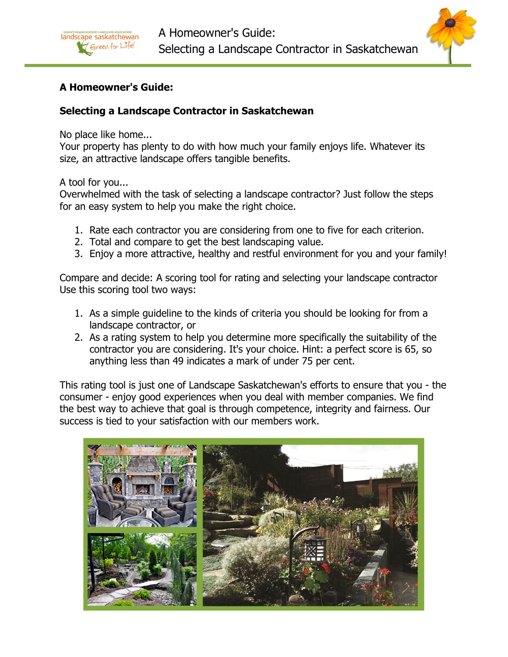

# A Homeowner's Guide:

## Selecting a Landscape Contractor in Saskatchewan

No place like home...

landscape saskatchewan Green for Life!

Your property has plenty to do with how much your family enjoys life. Whatever its size, an attractive landscape offers tangible benefits.

A tool for you...

Overwhelmed with the task of selecting a landscape contractor? Just follow the steps for an easy system to help you make the right choice.

- 1. Rate each contractor you are considering from one to five for each criterion.
- 2. Total and compare to get the best landscaping value.
- 3. Enjoy a more attractive, healthy and restful environment for you and your family!

Compare and decide: A scoring tool for rating and selecting your landscape contractor Use this scoring tool two ways:

- 1. As a simple guideline to the kinds of criteria you should be looking for from a landscape contractor, or
- 2. As a rating system to help you determine more specifically the suitability of the contractor you are considering. It's your choice. Hint: a perfect score is 65, so anything less than 49 indicates a mark of under 75 per cent.

This rating tool is just one of Landscape Saskatchewan's efforts to ensure that you - the consumer - enjoy good experiences when you deal with member companies. We find the best way to achieve that goal is through competence, integrity and fairness. Our success is tied to your satisfaction with our members work.

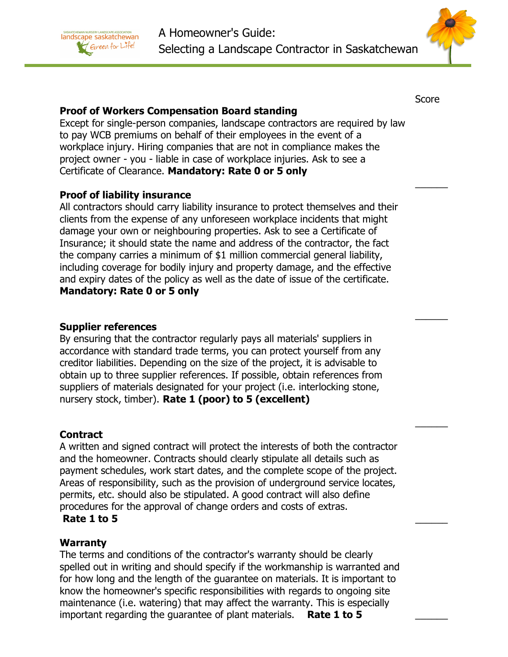



Score

 $\overline{\phantom{a}}$ 

 $\overline{\phantom{a}}$ 

## Proof of Workers Compensation Board standing

Except for single-person companies, landscape contractors are required by law to pay WCB premiums on behalf of their employees in the event of a workplace injury. Hiring companies that are not in compliance makes the project owner - you - liable in case of workplace injuries. Ask to see a Certificate of Clearance. Mandatory: Rate 0 or 5 only

# Proof of liability insurance

All contractors should carry liability insurance to protect themselves and their clients from the expense of any unforeseen workplace incidents that might damage your own or neighbouring properties. Ask to see a Certificate of Insurance; it should state the name and address of the contractor, the fact the company carries a minimum of \$1 million commercial general liability, including coverage for bodily injury and property damage, and the effective and expiry dates of the policy as well as the date of issue of the certificate. Mandatory: Rate 0 or 5 only

 $\mathcal{L}_\mathcal{L}$  , and the contract of the contract of the contract of the contract of the contract of the contract of

## Supplier references

By ensuring that the contractor regularly pays all materials' suppliers in accordance with standard trade terms, you can protect yourself from any creditor liabilities. Depending on the size of the project, it is advisable to obtain up to three supplier references. If possible, obtain references from suppliers of materials designated for your project (i.e. interlocking stone, nursery stock, timber). Rate 1 (poor) to 5 (excellent)

# **Contract**

A written and signed contract will protect the interests of both the contractor and the homeowner. Contracts should clearly stipulate all details such as payment schedules, work start dates, and the complete scope of the project. Areas of responsibility, such as the provision of underground service locates, permits, etc. should also be stipulated. A good contract will also define procedures for the approval of change orders and costs of extras.

# Rate 1 to 5

# **Warranty**

The terms and conditions of the contractor's warranty should be clearly spelled out in writing and should specify if the workmanship is warranted and for how long and the length of the guarantee on materials. It is important to know the homeowner's specific responsibilities with regards to ongoing site maintenance (i.e. watering) that may affect the warranty. This is especially important regarding the quarantee of plant materials. Rate  $1$  to  $5$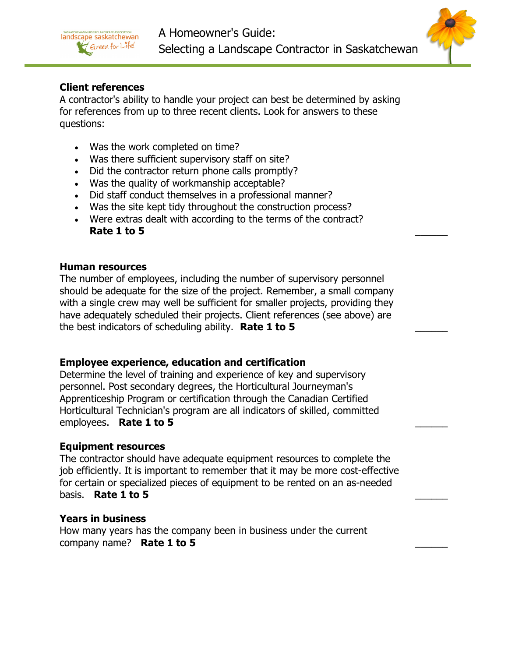



## Client references

A contractor's ability to handle your project can best be determined by asking for references from up to three recent clients. Look for answers to these questions:

- Was the work completed on time?
- Was there sufficient supervisory staff on site?
- Did the contractor return phone calls promptly?
- Was the quality of workmanship acceptable?
- Did staff conduct themselves in a professional manner?
- Was the site kept tidy throughout the construction process?
- Were extras dealt with according to the terms of the contract? Rate 1 to 5

#### Human resources

The number of employees, including the number of supervisory personnel should be adequate for the size of the project. Remember, a small company with a single crew may well be sufficient for smaller projects, providing they have adequately scheduled their projects. Client references (see above) are the best indicators of scheduling ability. Rate 1 to 5

## Employee experience, education and certification

Determine the level of training and experience of key and supervisory personnel. Post secondary degrees, the Horticultural Journeyman's Apprenticeship Program or certification through the Canadian Certified Horticultural Technician's program are all indicators of skilled, committed employees. Rate 1 to 5

### Equipment resources

The contractor should have adequate equipment resources to complete the job efficiently. It is important to remember that it may be more cost-effective for certain or specialized pieces of equipment to be rented on an as-needed basis. Rate 1 to 5

### Years in business

How many years has the company been in business under the current company name? Rate 1 to 5